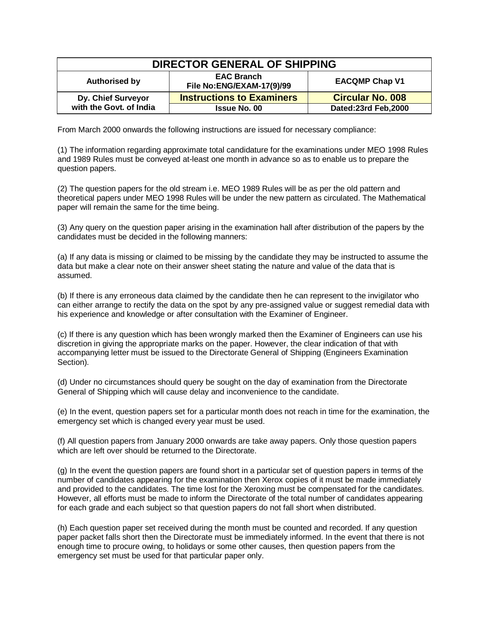| DIRECTOR GENERAL OF SHIPPING                  |                                                |                         |
|-----------------------------------------------|------------------------------------------------|-------------------------|
| Authorised by                                 | <b>EAC Branch</b><br>File No:ENG/EXAM-17(9)/99 | <b>EACQMP Chap V1</b>   |
| Dy. Chief Surveyor<br>with the Govt. of India | <b>Instructions to Examiners</b>               | <b>Circular No. 008</b> |
|                                               | <b>Issue No. 00</b>                            | Dated:23rd Feb,2000     |

From March 2000 onwards the following instructions are issued for necessary compliance:

(1) The information regarding approximate total candidature for the examinations under MEO 1998 Rules and 1989 Rules must be conveyed at-least one month in advance so as to enable us to prepare the question papers.

(2) The question papers for the old stream i.e. MEO 1989 Rules will be as per the old pattern and theoretical papers under MEO 1998 Rules will be under the new pattern as circulated. The Mathematical paper will remain the same for the time being.

(3) Any query on the question paper arising in the examination hall after distribution of the papers by the candidates must be decided in the following manners:

(a) If any data is missing or claimed to be missing by the candidate they may be instructed to assume the data but make a clear note on their answer sheet stating the nature and value of the data that is assumed.

(b) If there is any erroneous data claimed by the candidate then he can represent to the invigilator who can either arrange to rectify the data on the spot by any pre-assigned value or suggest remedial data with his experience and knowledge or after consultation with the Examiner of Engineer.

(c) If there is any question which has been wrongly marked then the Examiner of Engineers can use his discretion in giving the appropriate marks on the paper. However, the clear indication of that with accompanying letter must be issued to the Directorate General of Shipping (Engineers Examination Section).

(d) Under no circumstances should query be sought on the day of examination from the Directorate General of Shipping which will cause delay and inconvenience to the candidate.

(e) In the event, question papers set for a particular month does not reach in time for the examination, the emergency set which is changed every year must be used.

(f) All question papers from January 2000 onwards are take away papers. Only those question papers which are left over should be returned to the Directorate.

(g) In the event the question papers are found short in a particular set of question papers in terms of the number of candidates appearing for the examination then Xerox copies of it must be made immediately and provided to the candidates. The time lost for the Xeroxing must be compensated for the candidates. However, all efforts must be made to inform the Directorate of the total number of candidates appearing for each grade and each subject so that question papers do not fall short when distributed.

(h) Each question paper set received during the month must be counted and recorded. If any question paper packet falls short then the Directorate must be immediately informed. In the event that there is not enough time to procure owing, to holidays or some other causes, then question papers from the emergency set must be used for that particular paper only.